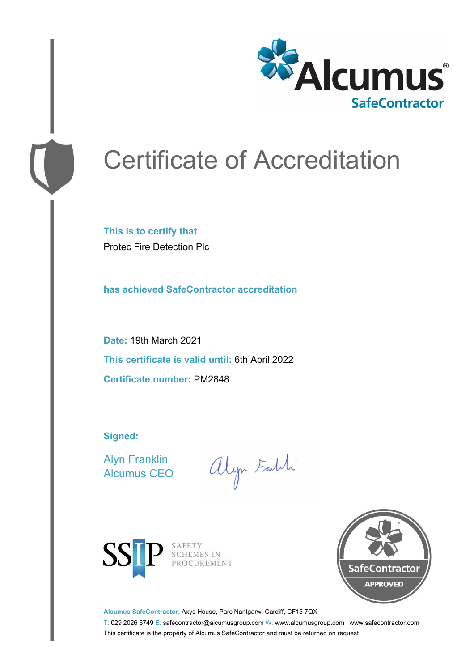

# Certificate of Accreditation

**This is to certify that** Protec Fire Detection Plc

**has achieved SafeContractor accreditation**

**Date:** 19th March 2021 **This certificate is valid until:** 6th April 2022 **Certificate number:** PM2848

**Signed:**

Alyn Franklin Alcumus CEO

alyn Faith



SAFETY SCHEMES IN PROCUREMENT



**Alcumus SafeContractor,** Axys House, Parc Nantgarw, Cardiff, CF15 7QX

T: 029 2026 6749 E: safecontractor@alcumusgroup.com W: www.alcumusgroup.com | www.safecontractor.com This certificate is the property of Alcumus SafeContractor and must be returned on request